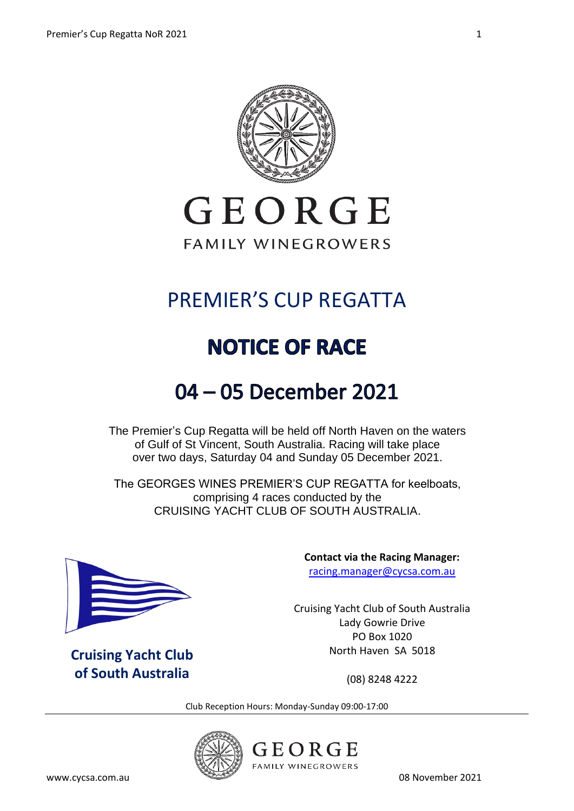

# GEORGE **FAMILY WINEGROWERS**

# PREMIER'S CUP REGATTA

# **NOTICE OF RACE**

# 04 - 05 December 2021

The Premier's Cup Regatta will be held off North Haven on the waters of Gulf of St Vincent, South Australia. Racing will take place over two days, Saturday 04 and Sunday 05 December 2021.

The GEORGES WINES PREMIER'S CUP REGATTA for keelboats, comprising 4 races conducted by the CRUISING YACHT CLUB OF SOUTH AUSTRALIA.



**Cruising Yacht Club of South Australia**

**Contact via the Racing Manager:** [racing.manager@cycsa.com.au](mailto:racing.manager@cycsa.com.au)

Cruising Yacht Club of South Australia Lady Gowrie Drive PO Box 1020 North Haven SA 5018

(08) 8248 4222

Club Reception Hours: Monday-Sunday 09:00-17:00



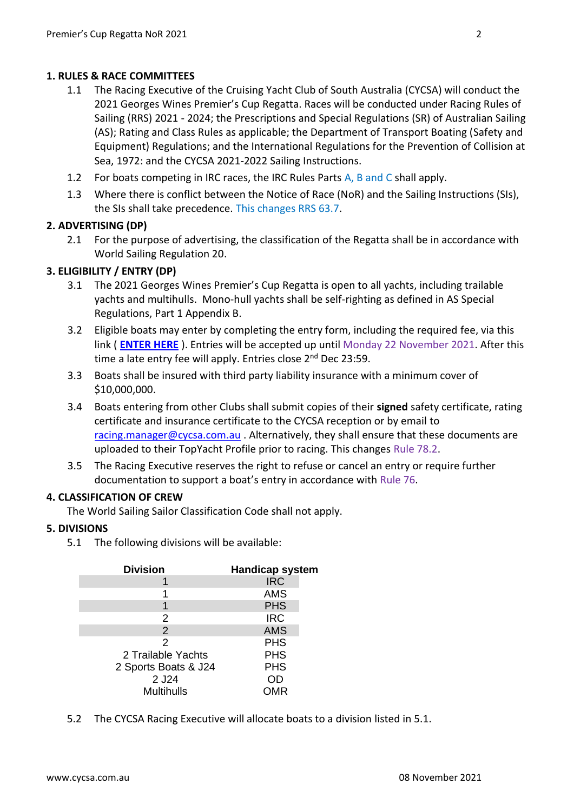### **1. RULES & RACE COMMITTEES**

- 1.1 The Racing Executive of the Cruising Yacht Club of South Australia (CYCSA) will conduct the 2021 Georges Wines Premier's Cup Regatta. Races will be conducted under Racing Rules of Sailing (RRS) 2021 - 2024; the Prescriptions and Special Regulations (SR) of Australian Sailing (AS); Rating and Class Rules as applicable; the Department of Transport Boating (Safety and Equipment) Regulations; and the International Regulations for the Prevention of Collision at Sea, 1972: and the CYCSA 2021-2022 Sailing Instructions.
- 1.2 For boats competing in IRC races, the IRC Rules Parts A, B and C shall apply.
- 1.3 Where there is conflict between the Notice of Race (NoR) and the Sailing Instructions (SIs), the SIs shall take precedence. This changes RRS 63.7.

# **2. ADVERTISING (DP)**

2.1 For the purpose of advertising, the classification of the Regatta shall be in accordance with World Sailing Regulation 20.

# **3. ELIGIBILITY / ENTRY (DP)**

- 3.1 The 2021 Georges Wines Premier's Cup Regatta is open to all yachts, including trailable yachts and multihulls. Mono-hull yachts shall be self-righting as defined in AS Special Regulations, Part 1 Appendix B.
- 3.2 Eligible boats may enter by completing the entry form, including the required fee, via this link ( **[ENTER HERE](https://www.topyacht.com.au/db/kb/1478)** ). Entries will be accepted up until Monday 22 November 2021. After this time a late entry fee will apply. Entries close 2<sup>nd</sup> Dec 23:59.
- 3.3 Boats shall be insured with third party liability insurance with a minimum cover of \$10,000,000.
- 3.4 Boats entering from other Clubs shall submit copies of their **signed** safety certificate, rating certificate and insurance certificate to the CYCSA reception or by email to [racing.manager@cycsa.com.au](mailto:racing.manager@cycsa.com.au) . Alternatively, they shall ensure that these documents are uploaded to their TopYacht Profile prior to racing. This changes Rule 78.2.
- 3.5 The Racing Executive reserves the right to refuse or cancel an entry or require further documentation to support a boat's entry in accordance with Rule 76.

### **4. CLASSIFICATION OF CREW**

The World Sailing Sailor Classification Code shall not apply.

### **5. DIVISIONS**

5.1 The following divisions will be available:

| <b>Division</b>      | <b>Handicap system</b> |
|----------------------|------------------------|
|                      | <b>IRC</b>             |
|                      | <b>AMS</b>             |
| 1                    | <b>PHS</b>             |
| 2                    | <b>IRC</b>             |
| $\overline{2}$       | <b>AMS</b>             |
| 2                    | <b>PHS</b>             |
| 2 Trailable Yachts   | <b>PHS</b>             |
| 2 Sports Boats & J24 | <b>PHS</b>             |
| 2 J24                | OD                     |
| <b>Multihulls</b>    | <b>OMR</b>             |
|                      |                        |

5.2 The CYCSA Racing Executive will allocate boats to a division listed in 5.1.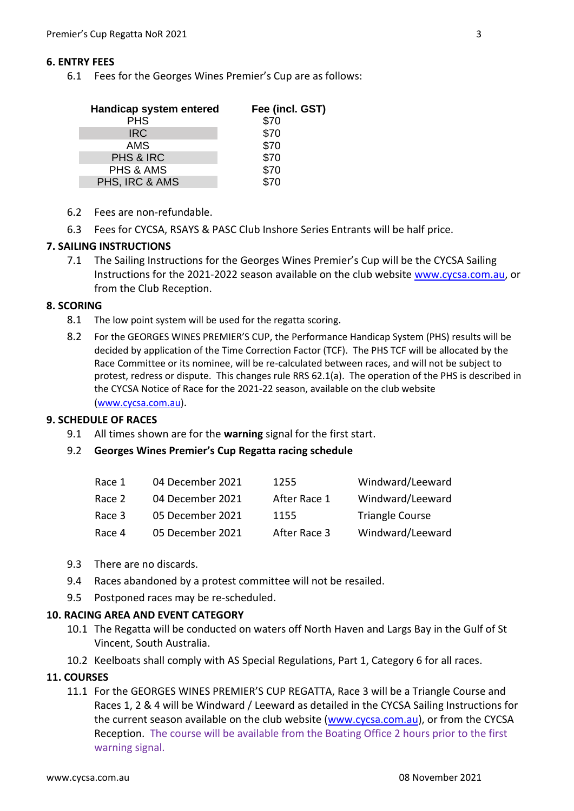#### **6. ENTRY FEES**

6.1 Fees for the Georges Wines Premier's Cup are as follows:

| Handicap system entered | Fee (incl. GST) |
|-------------------------|-----------------|
| <b>PHS</b>              | \$70            |
| <b>IRC</b>              | \$70            |
| AMS                     | \$70            |
| PHS & IRC               | \$70            |
| PHS & AMS               | \$70            |
| PHS, IRC & AMS          | $\dot{S}70$     |

- 6.2 Fees are non-refundable.
- 6.3 Fees for CYCSA, RSAYS & PASC Club Inshore Series Entrants will be half price.

#### **7. SAILING INSTRUCTIONS**

7.1 The Sailing Instructions for the Georges Wines Premier's Cup will be the CYCSA Sailing Instructions for the 2021-2022 season available on the club website [www.cycsa.com.au,](http://www.cycsa.com.au/) or from the Club Reception.

#### **8. SCORING**

- 8.1 The low point system will be used for the regatta scoring.
- 8.2 For the GEORGES WINES PREMIER'S CUP, the Performance Handicap System (PHS) results will be decided by application of the Time Correction Factor (TCF). The PHS TCF will be allocated by the Race Committee or its nominee, will be re-calculated between races, and will not be subject to protest, redress or dispute. This changes rule RRS 62.1(a). The operation of the PHS is described in the CYCSA Notice of Race for the 2021-22 season, available on the club website [\(www.cycsa.com.au\)](http://www.cycsa.com.au/).

#### **9. SCHEDULE OF RACES**

- 9.1 All times shown are for the **warning** signal for the first start.
- 9.2 **Georges Wines Premier's Cup Regatta racing schedule**

| Race 1 | 04 December 2021 | 1255         | Windward/Leeward       |
|--------|------------------|--------------|------------------------|
| Race 2 | 04 December 2021 | After Race 1 | Windward/Leeward       |
| Race 3 | 05 December 2021 | 1155         | <b>Triangle Course</b> |
| Race 4 | 05 December 2021 | After Race 3 | Windward/Leeward       |

- 9.3 There are no discards.
- 9.4 Races abandoned by a protest committee will not be resailed.
- 9.5 Postponed races may be re-scheduled.

#### **10. RACING AREA AND EVENT CATEGORY**

- 10.1 The Regatta will be conducted on waters off North Haven and Largs Bay in the Gulf of St Vincent, South Australia.
- 10.2 Keelboats shall comply with AS Special Regulations, Part 1, Category 6 for all races.

#### **11. COURSES**

11.1 For the GEORGES WINES PREMIER'S CUP REGATTA, Race 3 will be a Triangle Course and Races 1, 2 & 4 will be Windward / Leeward as detailed in the CYCSA Sailing Instructions for the current season available on the club website [\(www.cycsa.com.au\)](http://www.cycsa.com.au/), or from the CYCSA Reception. The course will be available from the Boating Office 2 hours prior to the first warning signal.